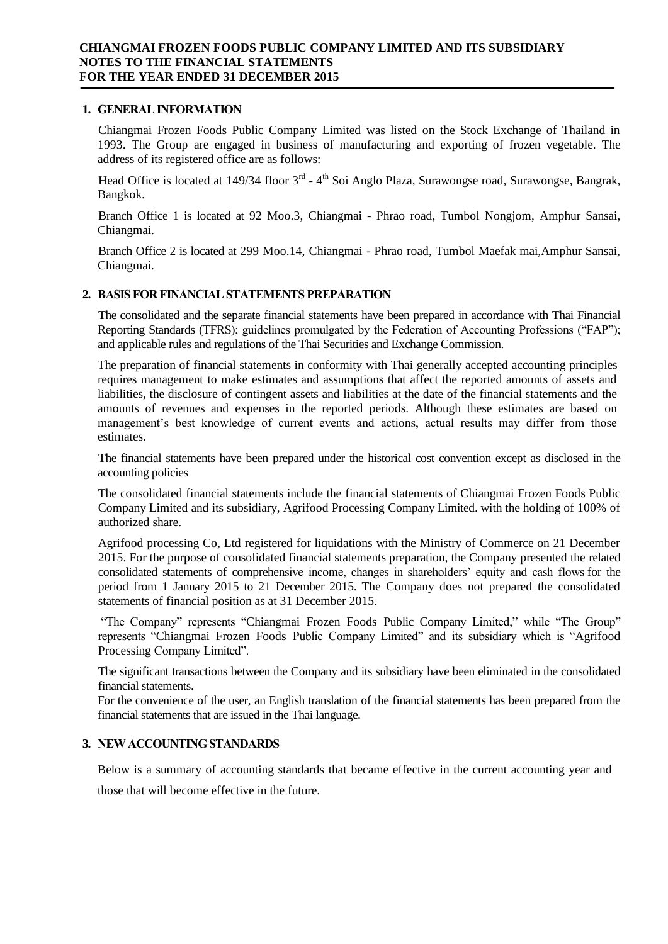### **1. GENERAL INFORMATION**

Chiangmai Frozen Foods Public Company Limited was listed on the Stock Exchange of Thailand in 1993. The Group are engaged in business of manufacturing and exporting of frozen vegetable. The address of its registered office are as follows:

Head Office is located at 149/34 floor 3<sup>rd</sup> - 4<sup>th</sup> Soi Anglo Plaza, Surawongse road, Surawongse, Bangrak, Bangkok.

Branch Office 1 is located at 92 Moo.3, Chiangmai - Phrao road, Tumbol Nongjom, Amphur Sansai, Chiangmai.

Branch Office 2 is located at 299 Moo.14, Chiangmai - Phrao road, Tumbol Maefak mai,Amphur Sansai, Chiangmai.

# **2. BASIS FOR FINANCIAL STATEMENTS PREPARATION**

The consolidated and the separate financial statements have been prepared in accordance with Thai Financial Reporting Standards (TFRS); guidelines promulgated by the Federation of Accounting Professions ("FAP"); and applicable rules and regulations of the Thai Securities and Exchange Commission.

The preparation of financial statements in conformity with Thai generally accepted accounting principles requires management to make estimates and assumptions that affect the reported amounts of assets and liabilities, the disclosure of contingent assets and liabilities at the date of the financial statements and the amounts of revenues and expenses in the reported periods. Although these estimates are based on management's best knowledge of current events and actions, actual results may differ from those estimates.

The financial statements have been prepared under the historical cost convention except as disclosed in the accounting policies

The consolidated financial statements include the financial statements of Chiangmai Frozen Foods Public Company Limited and its subsidiary, Agrifood Processing Company Limited. with the holding of 100% of authorized share.

Agrifood processing Co, Ltd registered for liquidations with the Ministry of Commerce on 21 December 2015. For the purpose of consolidated financial statements preparation, the Company presented the related consolidated statements of comprehensive income, changes in shareholders' equity and cash flows for the period from 1 January 2015 to 21 December 2015. The Company does not prepared the consolidated statements of financial position as at 31 December 2015.

"The Company" represents "Chiangmai Frozen Foods Public Company Limited," while "The Group" represents "Chiangmai Frozen Foods Public Company Limited" and its subsidiary which is "Agrifood Processing Company Limited".

The significant transactions between the Company and its subsidiary have been eliminated in the consolidated financial statements.

For the convenience of the user, an English translation of the financial statements has been prepared from the financial statements that are issued in the Thai language.

# **3. NEW ACCOUNTING STANDARDS**

Below is a summary of accounting standards that became effective in the current accounting year and those that will become effective in the future.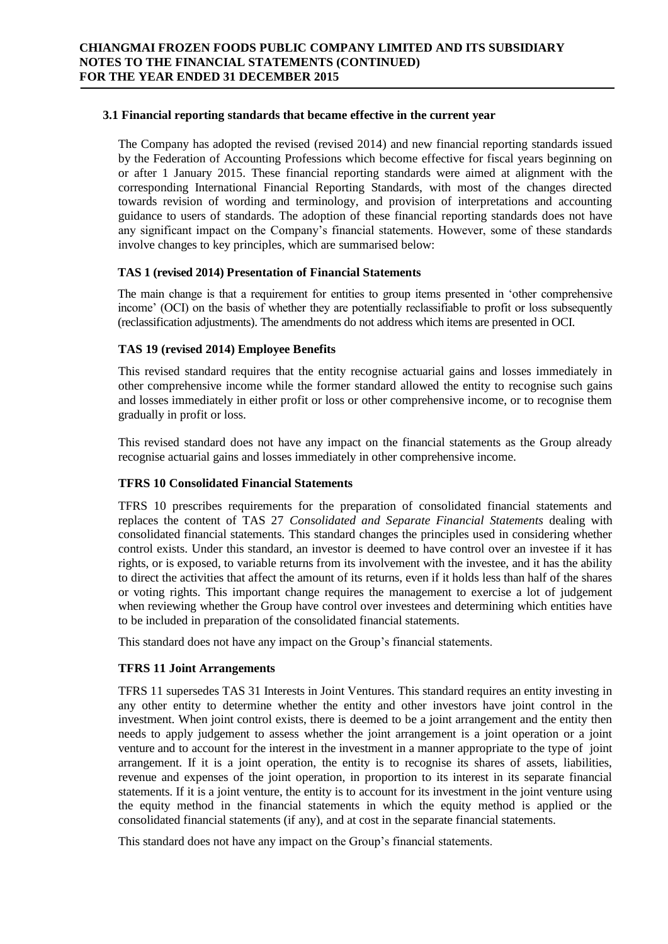### **3.1 Financial reporting standards that became effective in the current year**

The Company has adopted the revised (revised 2014) and new financial reporting standards issued by the Federation of Accounting Professions which become effective for fiscal years beginning on or after 1 January 2015. These financial reporting standards were aimed at alignment with the corresponding International Financial Reporting Standards, with most of the changes directed towards revision of wording and terminology, and provision of interpretations and accounting guidance to users of standards. The adoption of these financial reporting standards does not have any significant impact on the Company's financial statements. However, some of these standards involve changes to key principles, which are summarised below:

# **TAS 1 (revised 2014) Presentation of Financial Statements**

The main change is that a requirement for entities to group items presented in 'other comprehensive income' (OCI) on the basis of whether they are potentially reclassifiable to profit or loss subsequently (reclassification adjustments). The amendments do not address which items are presented in OCI.

# **TAS 19 (revised 2014) Employee Benefits**

This revised standard requires that the entity recognise actuarial gains and losses immediately in other comprehensive income while the former standard allowed the entity to recognise such gains and losses immediately in either profit or loss or other comprehensive income, or to recognise them gradually in profit or loss.

This revised standard does not have any impact on the financial statements as the Group already recognise actuarial gains and losses immediately in other comprehensive income.

# **TFRS 10 Consolidated Financial Statements**

TFRS 10 prescribes requirements for the preparation of consolidated financial statements and replaces the content of TAS 27 *Consolidated and Separate Financial Statements* dealing with consolidated financial statements. This standard changes the principles used in considering whether control exists. Under this standard, an investor is deemed to have control over an investee if it has rights, or is exposed, to variable returns from its involvement with the investee, and it has the ability to direct the activities that affect the amount of its returns, even if it holds less than half of the shares or voting rights. This important change requires the management to exercise a lot of judgement when reviewing whether the Group have control over investees and determining which entities have to be included in preparation of the consolidated financial statements.

This standard does not have any impact on the Group's financial statements.

# **TFRS 11 Joint Arrangements**

TFRS 11 supersedes TAS 31 Interests in Joint Ventures. This standard requires an entity investing in any other entity to determine whether the entity and other investors have joint control in the investment. When joint control exists, there is deemed to be a joint arrangement and the entity then needs to apply judgement to assess whether the joint arrangement is a joint operation or a joint venture and to account for the interest in the investment in a manner appropriate to the type of joint arrangement. If it is a joint operation, the entity is to recognise its shares of assets, liabilities, revenue and expenses of the joint operation, in proportion to its interest in its separate financial statements. If it is a joint venture, the entity is to account for its investment in the joint venture using the equity method in the financial statements in which the equity method is applied or the consolidated financial statements (if any), and at cost in the separate financial statements.

This standard does not have any impact on the Group's financial statements.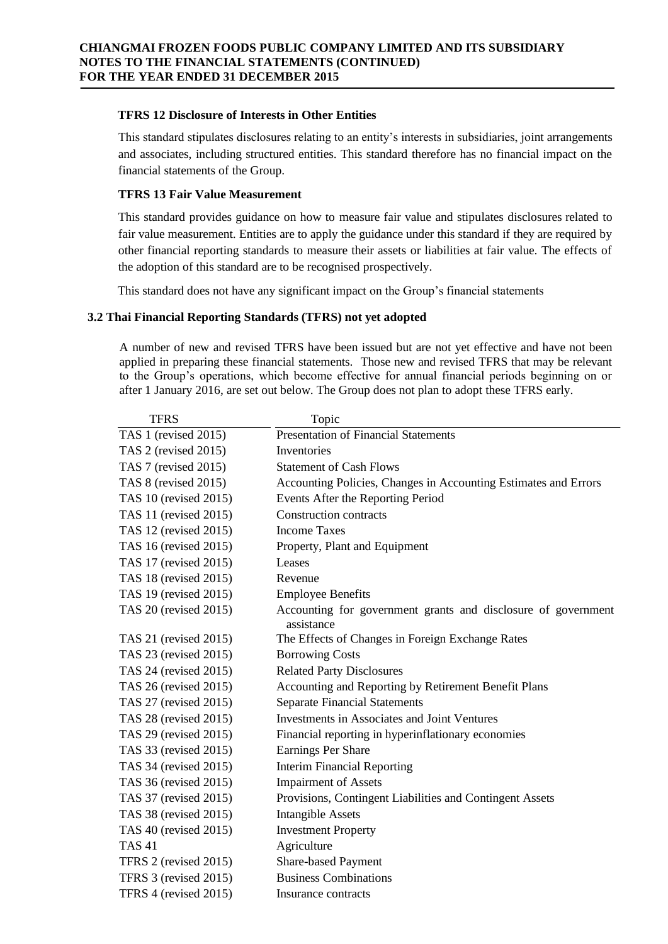## **TFRS 12 Disclosure of Interests in Other Entities**

This standard stipulates disclosures relating to an entity's interests in subsidiaries, joint arrangements and associates, including structured entities. This standard therefore has no financial impact on the financial statements of the Group.

# **TFRS 13 Fair Value Measurement**

This standard provides guidance on how to measure fair value and stipulates disclosures related to fair value measurement. Entities are to apply the guidance under this standard if they are required by other financial reporting standards to measure their assets or liabilities at fair value. The effects of the adoption of this standard are to be recognised prospectively.

This standard does not have any significant impact on the Group's financial statements

# **3.2 Thai Financial Reporting Standards (TFRS) not yet adopted**

A number of new and revised TFRS have been issued but are not yet effective and have not been applied in preparing these financial statements. Those new and revised TFRS that may be relevant to the Group's operations, which become effective for annual financial periods beginning on or after 1 January 2016, are set out below. The Group does not plan to adopt these TFRS early.

| <b>TFRS</b>           | Topic                                                                       |
|-----------------------|-----------------------------------------------------------------------------|
| TAS 1 (revised 2015)  | <b>Presentation of Financial Statements</b>                                 |
| TAS 2 (revised 2015)  | Inventories                                                                 |
| TAS 7 (revised 2015)  | <b>Statement of Cash Flows</b>                                              |
| TAS 8 (revised 2015)  | Accounting Policies, Changes in Accounting Estimates and Errors             |
| TAS 10 (revised 2015) | Events After the Reporting Period                                           |
| TAS 11 (revised 2015) | <b>Construction contracts</b>                                               |
| TAS 12 (revised 2015) | <b>Income Taxes</b>                                                         |
| TAS 16 (revised 2015) | Property, Plant and Equipment                                               |
| TAS 17 (revised 2015) | Leases                                                                      |
| TAS 18 (revised 2015) | Revenue                                                                     |
| TAS 19 (revised 2015) | <b>Employee Benefits</b>                                                    |
| TAS 20 (revised 2015) | Accounting for government grants and disclosure of government<br>assistance |
| TAS 21 (revised 2015) | The Effects of Changes in Foreign Exchange Rates                            |
| TAS 23 (revised 2015) | <b>Borrowing Costs</b>                                                      |
| TAS 24 (revised 2015) | <b>Related Party Disclosures</b>                                            |
| TAS 26 (revised 2015) | Accounting and Reporting by Retirement Benefit Plans                        |
| TAS 27 (revised 2015) | <b>Separate Financial Statements</b>                                        |
| TAS 28 (revised 2015) | <b>Investments in Associates and Joint Ventures</b>                         |
| TAS 29 (revised 2015) | Financial reporting in hyperinflationary economies                          |
| TAS 33 (revised 2015) | Earnings Per Share                                                          |
| TAS 34 (revised 2015) | <b>Interim Financial Reporting</b>                                          |
| TAS 36 (revised 2015) | <b>Impairment of Assets</b>                                                 |
| TAS 37 (revised 2015) | Provisions, Contingent Liabilities and Contingent Assets                    |
| TAS 38 (revised 2015) | <b>Intangible Assets</b>                                                    |
| TAS 40 (revised 2015) | <b>Investment Property</b>                                                  |
| <b>TAS41</b>          | Agriculture                                                                 |
| TFRS 2 (revised 2015) | <b>Share-based Payment</b>                                                  |
| TFRS 3 (revised 2015) | <b>Business Combinations</b>                                                |
| TFRS 4 (revised 2015) | Insurance contracts                                                         |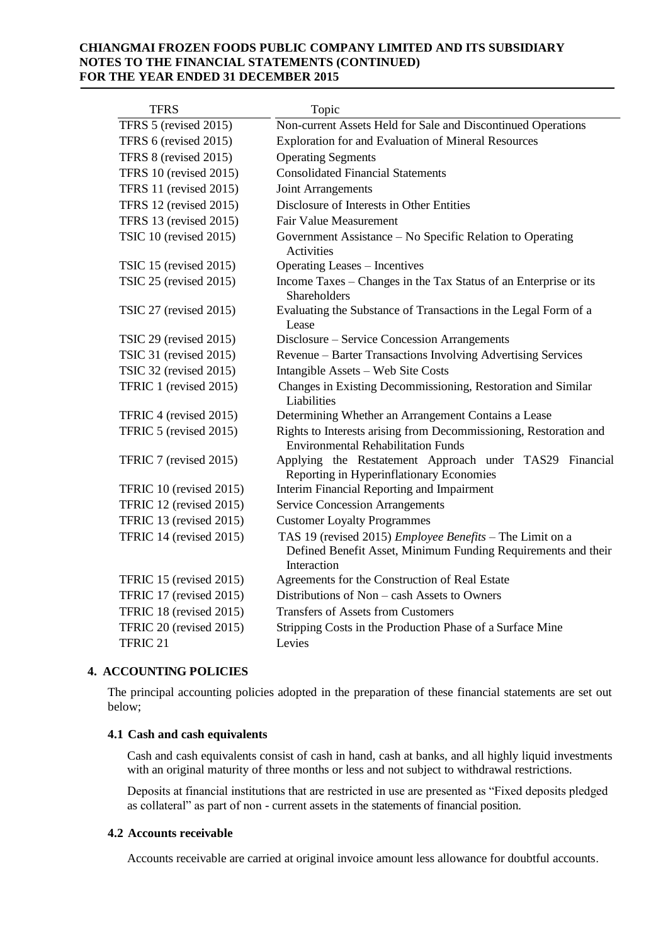| <b>TFRS</b>                    | Topic                                                                                                                                           |
|--------------------------------|-------------------------------------------------------------------------------------------------------------------------------------------------|
| TFRS 5 (revised 2015)          | Non-current Assets Held for Sale and Discontinued Operations                                                                                    |
| TFRS 6 (revised 2015)          | <b>Exploration for and Evaluation of Mineral Resources</b>                                                                                      |
| TFRS 8 (revised 2015)          | <b>Operating Segments</b>                                                                                                                       |
| TFRS 10 (revised 2015)         | <b>Consolidated Financial Statements</b>                                                                                                        |
| TFRS 11 (revised 2015)         | Joint Arrangements                                                                                                                              |
| <b>TFRS</b> 12 (revised 2015)  | Disclosure of Interests in Other Entities                                                                                                       |
| <b>TFRS 13 (revised 2015)</b>  | <b>Fair Value Measurement</b>                                                                                                                   |
| TSIC 10 (revised 2015)         | Government Assistance - No Specific Relation to Operating<br>Activities                                                                         |
| TSIC 15 (revised 2015)         | <b>Operating Leases - Incentives</b>                                                                                                            |
| TSIC 25 (revised 2015)         | Income Taxes - Changes in the Tax Status of an Enterprise or its<br>Shareholders                                                                |
| <b>TSIC 27 (revised 2015)</b>  | Evaluating the Substance of Transactions in the Legal Form of a<br>Lease                                                                        |
| TSIC 29 (revised 2015)         | Disclosure – Service Concession Arrangements                                                                                                    |
| <b>TSIC 31 (revised 2015)</b>  | Revenue – Barter Transactions Involving Advertising Services                                                                                    |
| <b>TSIC 32 (revised 2015)</b>  | Intangible Assets - Web Site Costs                                                                                                              |
| TFRIC 1 (revised 2015)         | Changes in Existing Decommissioning, Restoration and Similar<br>Liabilities                                                                     |
| TFRIC 4 (revised 2015)         | Determining Whether an Arrangement Contains a Lease                                                                                             |
| TFRIC 5 (revised 2015)         | Rights to Interests arising from Decommissioning, Restoration and<br><b>Environmental Rehabilitation Funds</b>                                  |
| TFRIC 7 (revised 2015)         | Applying the Restatement Approach under TAS29 Financial<br>Reporting in Hyperinflationary Economies                                             |
| TFRIC 10 (revised 2015)        | Interim Financial Reporting and Impairment                                                                                                      |
| TFRIC 12 (revised 2015)        | <b>Service Concession Arrangements</b>                                                                                                          |
| TFRIC 13 (revised 2015)        | <b>Customer Loyalty Programmes</b>                                                                                                              |
| TFRIC 14 (revised 2015)        | TAS 19 (revised 2015) <i>Employee Benefits</i> – The Limit on a<br>Defined Benefit Asset, Minimum Funding Requirements and their<br>Interaction |
| TFRIC 15 (revised 2015)        | Agreements for the Construction of Real Estate                                                                                                  |
| <b>TFRIC 17 (revised 2015)</b> | Distributions of Non – cash Assets to Owners                                                                                                    |
| TFRIC 18 (revised 2015)        | Transfers of Assets from Customers                                                                                                              |
| TFRIC 20 (revised 2015)        | Stripping Costs in the Production Phase of a Surface Mine                                                                                       |
| TFRIC <sub>21</sub>            | Levies                                                                                                                                          |

# **4. ACCOUNTING POLICIES**

The principal accounting policies adopted in the preparation of these financial statements are set out below;

#### **4.1 Cash and cash equivalents**

Cash and cash equivalents consist of cash in hand, cash at banks, and all highly liquid investments with an original maturity of three months or less and not subject to withdrawal restrictions.

Deposits at financial institutions that are restricted in use are presented as "Fixed deposits pledged as collateral" as part of non - current assets in the statements of financial position.

#### **4.2 Accounts receivable**

Accounts receivable are carried at original invoice amount less allowance for doubtful accounts.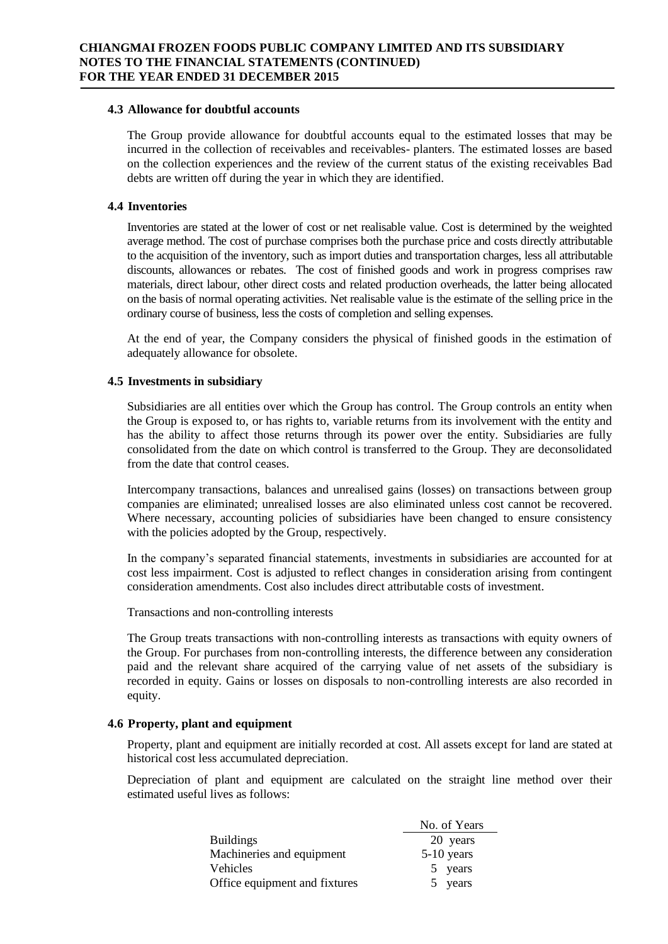#### **4.3 Allowance for doubtful accounts**

The Group provide allowance for doubtful accounts equal to the estimated losses that may be incurred in the collection of receivables and receivables- planters. The estimated losses are based on the collection experiences and the review of the current status of the existing receivables Bad debts are written off during the year in which they are identified.

### **4.4 Inventories**

Inventories are stated at the lower of cost or net realisable value. Cost is determined by the weighted average method. The cost of purchase comprises both the purchase price and costs directly attributable to the acquisition of the inventory, such as import duties and transportation charges, less all attributable discounts, allowances or rebates. The cost of finished goods and work in progress comprises raw materials, direct labour, other direct costs and related production overheads, the latter being allocated on the basis of normal operating activities. Net realisable value is the estimate of the selling price in the ordinary course of business, less the costs of completion and selling expenses.

At the end of year, the Company considers the physical of finished goods in the estimation of adequately allowance for obsolete.

### **4.5 Investments in subsidiary**

Subsidiaries are all entities over which the Group has control. The Group controls an entity when the Group is exposed to, or has rights to, variable returns from its involvement with the entity and has the ability to affect those returns through its power over the entity. Subsidiaries are fully consolidated from the date on which control is transferred to the Group. They are deconsolidated from the date that control ceases.

Intercompany transactions, balances and unrealised gains (losses) on transactions between group companies are eliminated; unrealised losses are also eliminated unless cost cannot be recovered. Where necessary, accounting policies of subsidiaries have been changed to ensure consistency with the policies adopted by the Group, respectively.

In the company's separated financial statements, investments in subsidiaries are accounted for at cost less impairment. Cost is adjusted to reflect changes in consideration arising from contingent consideration amendments. Cost also includes direct attributable costs of investment.

Transactions and non-controlling interests

The Group treats transactions with non-controlling interests as transactions with equity owners of the Group. For purchases from non-controlling interests, the difference between any consideration paid and the relevant share acquired of the carrying value of net assets of the subsidiary is recorded in equity. Gains or losses on disposals to non-controlling interests are also recorded in equity.

### **4.6 Property, plant and equipment**

Property, plant and equipment are initially recorded at cost. All assets except for land are stated at historical cost less accumulated depreciation.

Depreciation of plant and equipment are calculated on the straight line method over their estimated useful lives as follows:

|                               | No. of Years |
|-------------------------------|--------------|
| <b>Buildings</b>              | 20 years     |
| Machineries and equipment     | $5-10$ years |
| <b>Vehicles</b>               | 5 years      |
| Office equipment and fixtures | 5 years      |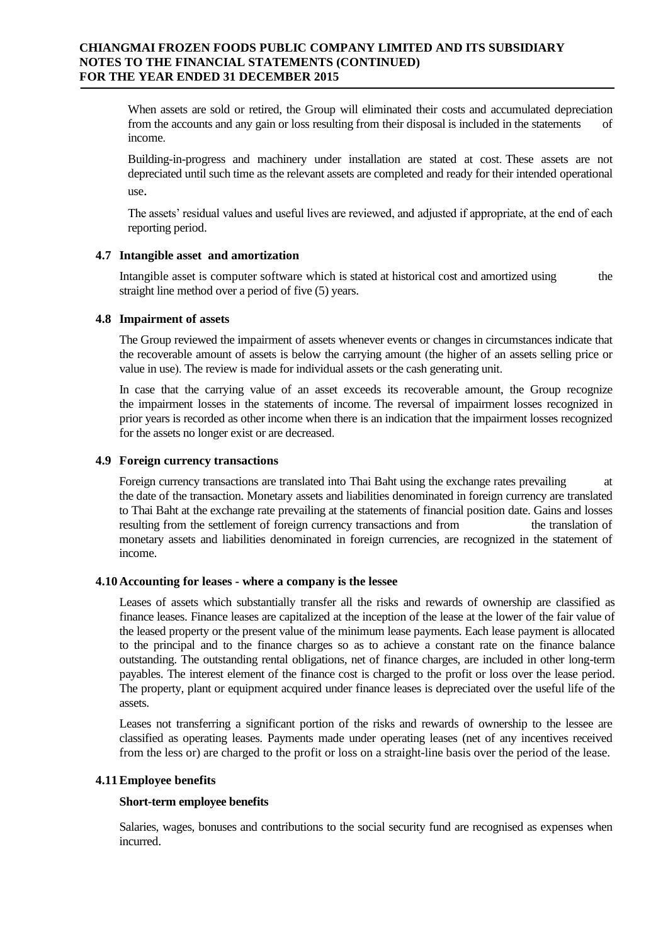When assets are sold or retired, the Group will eliminated their costs and accumulated depreciation from the accounts and any gain or loss resulting from their disposal is included in the statements of income.

Building-in-progress and machinery under installation are stated at cost. These assets are not depreciated until such time as the relevant assets are completed and ready for their intended operational use.

The assets' residual values and useful lives are reviewed, and adjusted if appropriate, at the end of each reporting period.

#### **4.7 Intangible asset and amortization**

Intangible asset is computer software which is stated at historical cost and amortized using the straight line method over a period of five (5) years.

#### **4.8 Impairment of assets**

The Group reviewed the impairment of assets whenever events or changes in circumstances indicate that the recoverable amount of assets is below the carrying amount (the higher of an assets selling price or value in use). The review is made for individual assets or the cash generating unit.

In case that the carrying value of an asset exceeds its recoverable amount, the Group recognize the impairment losses in the statements of income. The reversal of impairment losses recognized in prior years is recorded as other income when there is an indication that the impairment losses recognized for the assets no longer exist or are decreased.

#### **4.9 Foreign currency transactions**

Foreign currency transactions are translated into Thai Baht using the exchange rates prevailing at the date of the transaction. Monetary assets and liabilities denominated in foreign currency are translated to Thai Baht at the exchange rate prevailing at the statements of financial position date. Gains and losses resulting from the settlement of foreign currency transactions and from the translation of monetary assets and liabilities denominated in foreign currencies, are recognized in the statement of income.

#### **4.10 Accounting for leases - where a company is the lessee**

Leases of assets which substantially transfer all the risks and rewards of ownership are classified as finance leases. Finance leases are capitalized at the inception of the lease at the lower of the fair value of the leased property or the present value of the minimum lease payments. Each lease payment is allocated to the principal and to the finance charges so as to achieve a constant rate on the finance balance outstanding. The outstanding rental obligations, net of finance charges, are included in other long-term payables. The interest element of the finance cost is charged to the profit or loss over the lease period. The property, plant or equipment acquired under finance leases is depreciated over the useful life of the assets.

Leases not transferring a significant portion of the risks and rewards of ownership to the lessee are classified as operating leases. Payments made under operating leases (net of any incentives received from the less or) are charged to the profit or loss on a straight-line basis over the period of the lease.

### **4.11Employee benefits**

#### **Short-term employee benefits**

Salaries, wages, bonuses and contributions to the social security fund are recognised as expenses when incurred.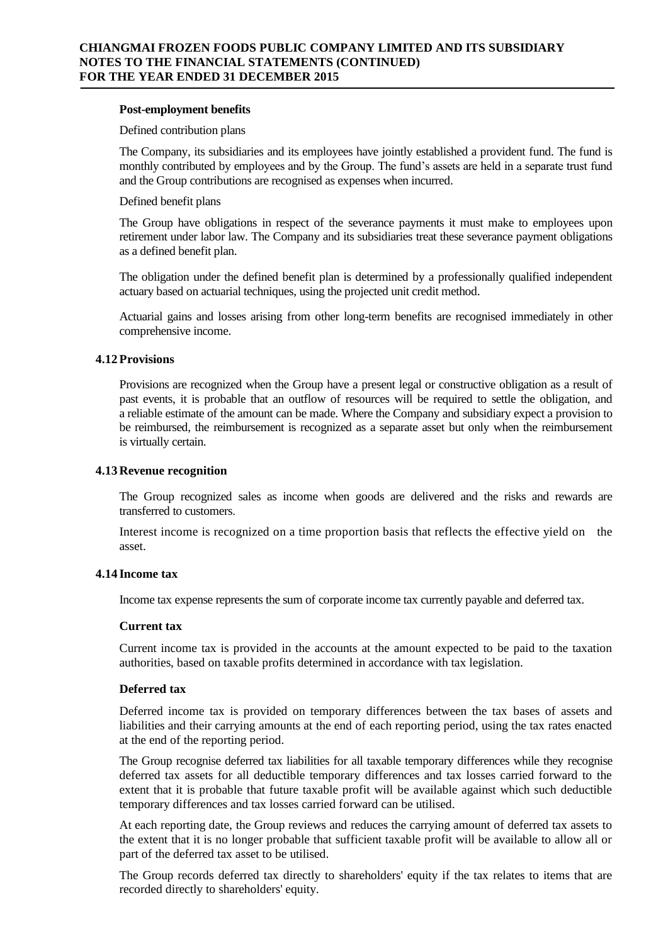#### **Post-employment benefits**

#### Defined contribution plans

The Company, its subsidiaries and its employees have jointly established a provident fund. The fund is monthly contributed by employees and by the Group. The fund's assets are held in a separate trust fund and the Group contributions are recognised as expenses when incurred.

#### Defined benefit plans

The Group have obligations in respect of the severance payments it must make to employees upon retirement under labor law. The Company and its subsidiaries treat these severance payment obligations as a defined benefit plan.

The obligation under the defined benefit plan is determined by a professionally qualified independent actuary based on actuarial techniques, using the projected unit credit method.

Actuarial gains and losses arising from other long-term benefits are recognised immediately in other comprehensive income.

#### **4.12 Provisions**

Provisions are recognized when the Group have a present legal or constructive obligation as a result of past events, it is probable that an outflow of resources will be required to settle the obligation, and a reliable estimate of the amount can be made. Where the Company and subsidiary expect a provision to be reimbursed, the reimbursement is recognized as a separate asset but only when the reimbursement is virtually certain.

#### **4.13 Revenue recognition**

The Group recognized sales as income when goods are delivered and the risks and rewards are transferred to customers.

Interest income is recognized on a time proportion basis that reflects the effective yield on the asset.

# **4.14 Income tax**

Income tax expense represents the sum of corporate income tax currently payable and deferred tax.

### **Current tax**

Current income tax is provided in the accounts at the amount expected to be paid to the taxation authorities, based on taxable profits determined in accordance with tax legislation.

#### **Deferred tax**

Deferred income tax is provided on temporary differences between the tax bases of assets and liabilities and their carrying amounts at the end of each reporting period, using the tax rates enacted at the end of the reporting period.

The Group recognise deferred tax liabilities for all taxable temporary differences while they recognise deferred tax assets for all deductible temporary differences and tax losses carried forward to the extent that it is probable that future taxable profit will be available against which such deductible temporary differences and tax losses carried forward can be utilised.

At each reporting date, the Group reviews and reduces the carrying amount of deferred tax assets to the extent that it is no longer probable that sufficient taxable profit will be available to allow all or part of the deferred tax asset to be utilised.

The Group records deferred tax directly to shareholders' equity if the tax relates to items that are recorded directly to shareholders' equity.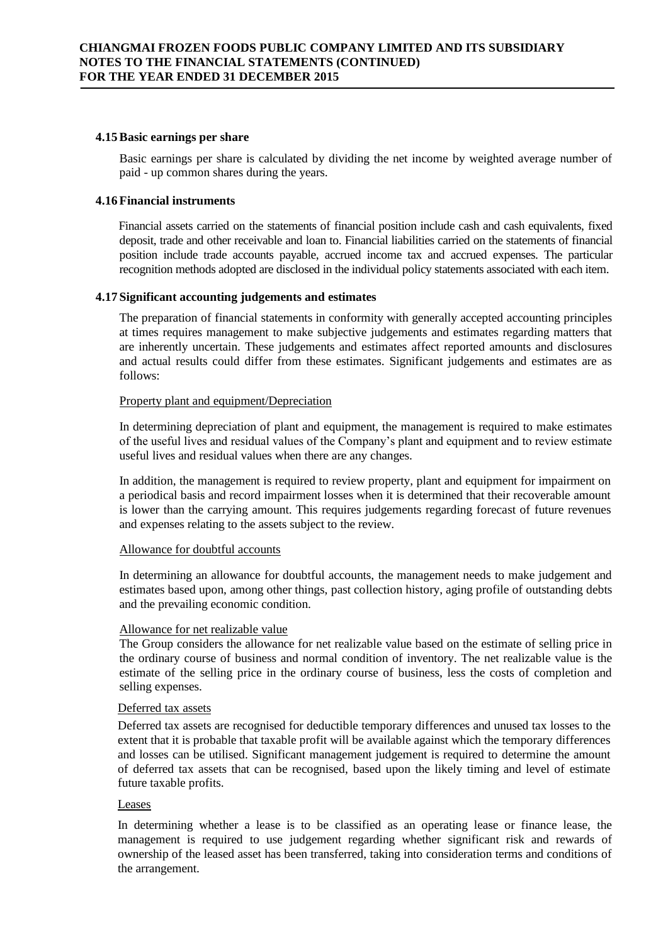#### **4.15Basic earnings per share**

Basic earnings per share is calculated by dividing the net income by weighted average number of paid - up common shares during the years.

# **4.16 Financial instruments**

Financial assets carried on the statements of financial position include cash and cash equivalents, fixed deposit, trade and other receivable and loan to. Financial liabilities carried on the statements of financial position include trade accounts payable, accrued income tax and accrued expenses. The particular recognition methods adopted are disclosed in the individual policy statements associated with each item.

### **4.17 Significant accounting judgements and estimates**

The preparation of financial statements in conformity with generally accepted accounting principles at times requires management to make subjective judgements and estimates regarding matters that are inherently uncertain. These judgements and estimates affect reported amounts and disclosures and actual results could differ from these estimates. Significant judgements and estimates are as follows:

#### Property plant and equipment/Depreciation

In determining depreciation of plant and equipment, the management is required to make estimates of the useful lives and residual values of the Company's plant and equipment and to review estimate useful lives and residual values when there are any changes.

In addition, the management is required to review property, plant and equipment for impairment on a periodical basis and record impairment losses when it is determined that their recoverable amount is lower than the carrying amount. This requires judgements regarding forecast of future revenues and expenses relating to the assets subject to the review.

#### Allowance for doubtful accounts

In determining an allowance for doubtful accounts, the management needs to make judgement and estimates based upon, among other things, past collection history, aging profile of outstanding debts and the prevailing economic condition.

### Allowance for net realizable value

The Group considers the allowance for net realizable value based on the estimate of selling price in the ordinary course of business and normal condition of inventory. The net realizable value is the estimate of the selling price in the ordinary course of business, less the costs of completion and selling expenses.

#### Deferred tax assets

Deferred tax assets are recognised for deductible temporary differences and unused tax losses to the extent that it is probable that taxable profit will be available against which the temporary differences and losses can be utilised. Significant management judgement is required to determine the amount of deferred tax assets that can be recognised, based upon the likely timing and level of estimate future taxable profits.

#### Leases

In determining whether a lease is to be classified as an operating lease or finance lease, the management is required to use judgement regarding whether significant risk and rewards of ownership of the leased asset has been transferred, taking into consideration terms and conditions of the arrangement.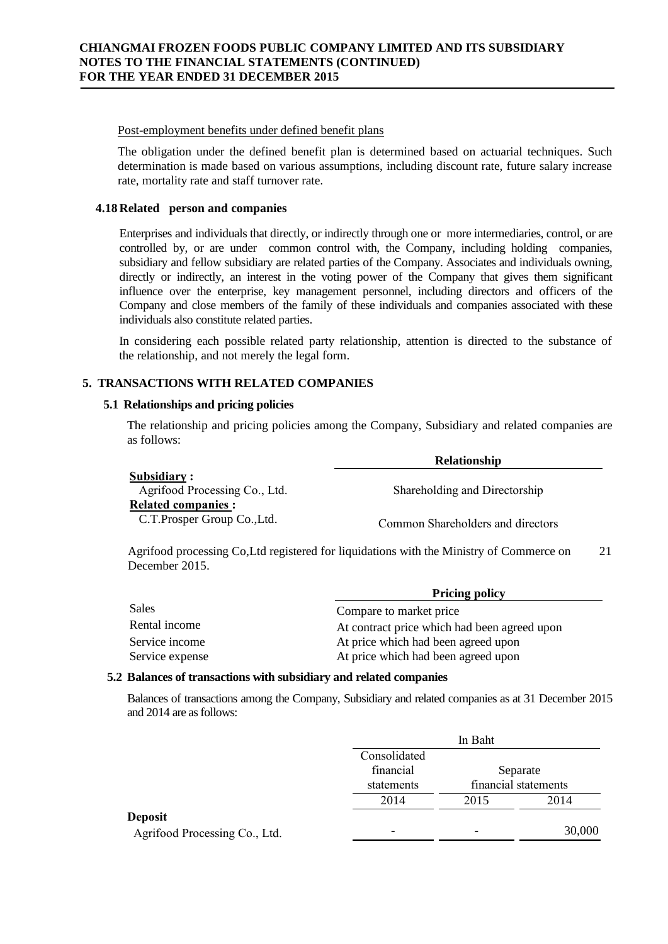#### Post-employment benefits under defined benefit plans

The obligation under the defined benefit plan is determined based on actuarial techniques. Such determination is made based on various assumptions, including discount rate, future salary increase rate, mortality rate and staff turnover rate.

#### **4.18 Related person and companies**

Enterprises and individuals that directly, or indirectly through one or more intermediaries, control, or are controlled by, or are under common control with, the Company, including holding companies, subsidiary and fellow subsidiary are related parties of the Company. Associates and individuals owning, directly or indirectly, an interest in the voting power of the Company that gives them significant influence over the enterprise, key management personnel, including directors and officers of the Company and close members of the family of these individuals and companies associated with these individuals also constitute related parties.

In considering each possible related party relationship, attention is directed to the substance of the relationship, and not merely the legal form.

# **5. TRANSACTIONS WITH RELATED COMPANIES**

#### **5.1 Relationships and pricing policies**

The relationship and pricing policies among the Company, Subsidiary and related companies are as follows:

|                               | <b>Relationship</b>               |
|-------------------------------|-----------------------------------|
| Subsidiary:                   |                                   |
| Agrifood Processing Co., Ltd. | Shareholding and Directorship     |
| <b>Related companies :</b>    |                                   |
| C.T. Prosper Group Co., Ltd.  | Common Shareholders and directors |

Agrifood processing Co,Ltd registered for liquidations with the Ministry of Commerce on 21 December 2015.

|                 | <b>Pricing policy</b>                        |  |  |
|-----------------|----------------------------------------------|--|--|
| Sales           | Compare to market price                      |  |  |
| Rental income   | At contract price which had been agreed upon |  |  |
| Service income  | At price which had been agreed upon          |  |  |
| Service expense | At price which had been agreed upon          |  |  |

#### **5.2 Balances of transactions with subsidiary and related companies**

Balances of transactions among the Company, Subsidiary and related companies as at 31 December 2015 and 2014 are as follows:

|                                                 | In Baht                                 |                                  |        |  |
|-------------------------------------------------|-----------------------------------------|----------------------------------|--------|--|
|                                                 | Consolidated<br>financial<br>statements | Separate<br>financial statements |        |  |
|                                                 | 2014                                    | 2015                             | 2014   |  |
| <b>Deposit</b><br>Agrifood Processing Co., Ltd. | -                                       | -                                | 30,000 |  |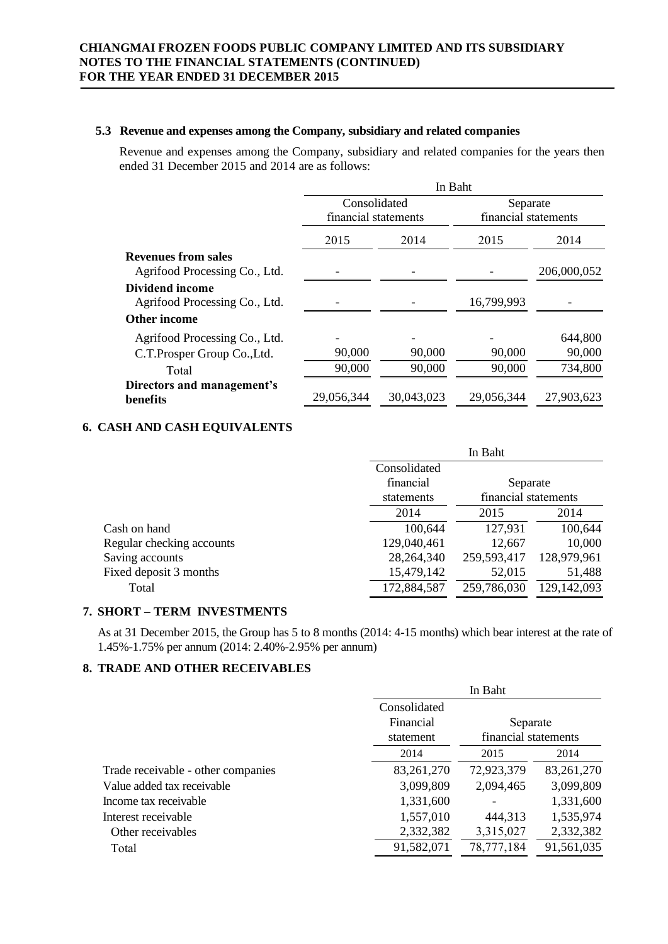## **5.3 Revenue and expenses among the Company, subsidiary and related companies**

Revenue and expenses among the Company, subsidiary and related companies for the years then ended 31 December 2015 and 2014 are as follows:

|                               | In Baht              |            |                      |             |  |
|-------------------------------|----------------------|------------|----------------------|-------------|--|
|                               | Consolidated         |            | Separate             |             |  |
|                               | financial statements |            | financial statements |             |  |
|                               | 2015                 | 2014       | 2015                 | 2014        |  |
| <b>Revenues from sales</b>    |                      |            |                      |             |  |
| Agrifood Processing Co., Ltd. |                      |            |                      | 206,000,052 |  |
| <b>Dividend income</b>        |                      |            |                      |             |  |
| Agrifood Processing Co., Ltd. |                      |            | 16,799,993           |             |  |
| <b>Other income</b>           |                      |            |                      |             |  |
| Agrifood Processing Co., Ltd. |                      |            |                      | 644,800     |  |
| C.T.Prosper Group Co., Ltd.   | 90,000               | 90,000     | 90,000               | 90,000      |  |
| Total                         | 90,000               | 90,000     | 90,000               | 734,800     |  |
| Directors and management's    |                      |            |                      |             |  |
| benefits                      | 29,056,344           | 30,043,023 | 29,056,344           | 27,903,623  |  |

# **6. CASH AND CASH EQUIVALENTS**

|                           | In Baht                            |              |             |  |
|---------------------------|------------------------------------|--------------|-------------|--|
|                           | Consolidated                       |              |             |  |
|                           | financial                          | Separate     |             |  |
|                           | financial statements<br>statements |              |             |  |
|                           | 2014                               | 2014<br>2015 |             |  |
| Cash on hand              | 100,644                            | 127,931      | 100,644     |  |
| Regular checking accounts | 129,040,461                        | 12,667       | 10,000      |  |
| Saving accounts           | 28,264,340                         | 259,593,417  | 128,979,961 |  |
| Fixed deposit 3 months    | 15,479,142                         | 52,015       | 51,488      |  |
| Total                     | 172,884,587                        | 259,786,030  | 129,142,093 |  |

# **7. SHORT – TERM INVESTMENTS**

As at 31 December 2015, the Group has 5 to 8 months (2014: 4-15 months) which bear interest at the rate of 1.45%-1.75% per annum (2014: 2.40%-2.95% per annum)

# **8. TRADE AND OTHER RECEIVABLES**

|                                    | In Baht               |                      |              |  |
|------------------------------------|-----------------------|----------------------|--------------|--|
|                                    | Consolidated          |                      |              |  |
|                                    | Financial<br>Separate |                      |              |  |
|                                    | statement             | financial statements |              |  |
|                                    | 2014                  | 2015                 | 2014         |  |
| Trade receivable - other companies | 83,261,270            | 72,923,379           | 83, 261, 270 |  |
| Value added tax receivable         | 3,099,809             | 2,094,465            | 3,099,809    |  |
| Income tax receivable              | 1,331,600             |                      | 1,331,600    |  |
| Interest receivable                | 1,557,010             | 444,313              | 1,535,974    |  |
| Other receivables                  | 2,332,382             | 3,315,027            | 2,332,382    |  |
| Total                              | 91,582,071            | 78,777,184           | 91,561,035   |  |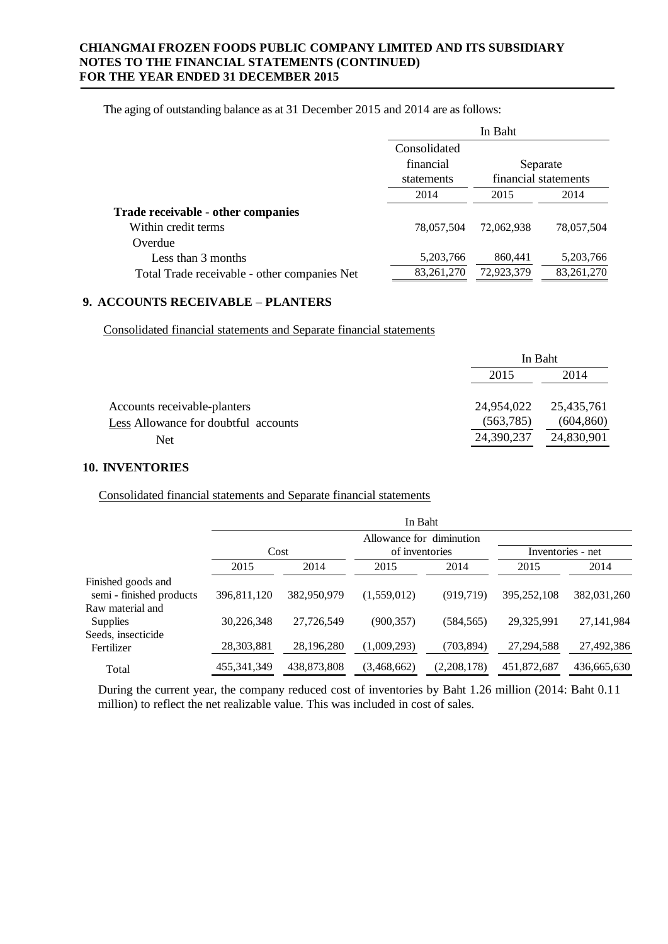The aging of outstanding balance as at 31 December 2015 and 2014 are as follows:

|                                              | In Baht               |                      |             |  |
|----------------------------------------------|-----------------------|----------------------|-------------|--|
|                                              | Consolidated          |                      |             |  |
|                                              | financial<br>Separate |                      |             |  |
|                                              | statements            | financial statements |             |  |
|                                              | 2014<br>2015          |                      | 2014        |  |
| Trade receivable - other companies           |                       |                      |             |  |
| Within credit terms                          | 78,057,504            | 72,062,938           | 78,057,504  |  |
| Overdue                                      |                       |                      |             |  |
| Less than 3 months                           | 5,203,766             | 860,441              | 5, 203, 766 |  |
| Total Trade receivable - other companies Net | 83, 261, 270          | 72,923,379           | 83,261,270  |  |

# **9. ACCOUNTS RECEIVABLE – PLANTERS**

Consolidated financial statements and Separate financial statements

|                                      |            | In Baht    |  |  |
|--------------------------------------|------------|------------|--|--|
|                                      | 2015       | 2014       |  |  |
| Accounts receivable-planters         | 24,954,022 | 25,435,761 |  |  |
| Less Allowance for doubtful accounts | (563, 785) | (604, 860) |  |  |
| Net                                  | 24,390,237 | 24,830,901 |  |  |

### **10. INVENTORIES**

Consolidated financial statements and Separate financial statements

|                                                | In Baht       |             |                                            |             |                   |             |  |
|------------------------------------------------|---------------|-------------|--------------------------------------------|-------------|-------------------|-------------|--|
|                                                | Cost          |             | Allowance for diminution<br>of inventories |             | Inventories - net |             |  |
|                                                | 2015          | 2014        | 2015                                       | 2014        | 2015              | 2014        |  |
| Finished goods and<br>semi - finished products | 396,811,120   | 382,950,979 | (1,559,012)                                | (919, 719)  | 395,252,108       | 382,031,260 |  |
| Raw material and<br>Supplies                   | 30,226,348    | 27,726,549  | (900, 357)                                 | (584, 565)  | 29,325,991        | 27,141,984  |  |
| Seeds, insecticide<br>Fertilizer               | 28,303,881    | 28,196,280  | (1,009,293)                                | (703, 894)  | 27, 294, 588      | 27,492,386  |  |
| Total                                          | 455, 341, 349 | 438,873,808 | (3,468,662)                                | (2,208,178) | 451,872,687       | 436,665,630 |  |

During the current year, the company reduced cost of inventories by Baht 1.26 million (2014: Baht 0.11 million) to reflect the net realizable value. This was included in cost of sales.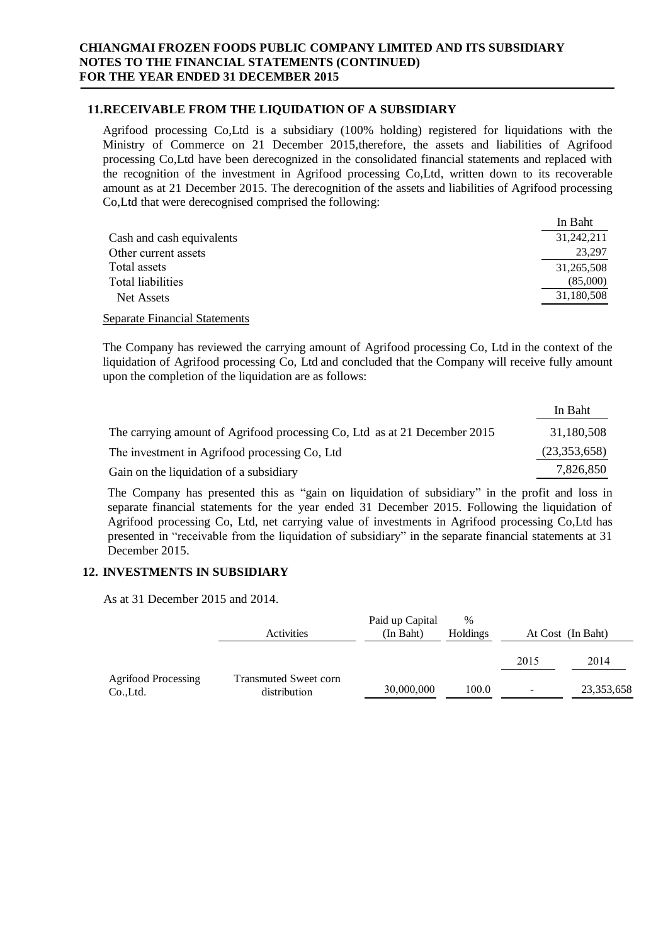# **11.RECEIVABLE FROM THE LIQUIDATION OF A SUBSIDIARY**

Agrifood processing Co,Ltd is a subsidiary (100% holding) registered for liquidations with the Ministry of Commerce on 21 December 2015,therefore, the assets and liabilities of Agrifood processing Co,Ltd have been derecognized in the consolidated financial statements and replaced with the recognition of the investment in Agrifood processing Co,Ltd, written down to its recoverable amount as at 21 December 2015. The derecognition of the assets and liabilities of Agrifood processing Co,Ltd that were derecognised comprised the following:

|                           | In Baht    |
|---------------------------|------------|
| Cash and cash equivalents | 31,242,211 |
| Other current assets      | 23,297     |
| Total assets              | 31,265,508 |
| Total liabilities         | (85,000)   |
| Net Assets                | 31,180,508 |

Separate Financial Statements

The Company has reviewed the carrying amount of Agrifood processing Co, Ltd in the context of the liquidation of Agrifood processing Co, Ltd and concluded that the Company will receive fully amount upon the completion of the liquidation are as follows:

|                                                                           | In Baht      |
|---------------------------------------------------------------------------|--------------|
| The carrying amount of Agrifood processing Co, Ltd as at 21 December 2015 | 31.180.508   |
| The investment in Agrifood processing Co, Ltd                             | (23,353,658) |
| Gain on the liquidation of a subsidiary                                   | 7,826,850    |

The Company has presented this as "gain on liquidation of subsidiary" in the profit and loss in separate financial statements for the year ended 31 December 2015. Following the liquidation of Agrifood processing Co, Ltd, net carrying value of investments in Agrifood processing Co,Ltd has presented in "receivable from the liquidation of subsidiary" in the separate financial statements at 31 December 2015.

# **12. INVESTMENTS IN SUBSIDIARY**

As at 31 December 2015 and 2014.

|                                        | Activities                                   | Paid up Capital<br>(In Baht) | $\frac{0}{0}$<br><b>Holdings</b> |      | At Cost (In Baht) |
|----------------------------------------|----------------------------------------------|------------------------------|----------------------------------|------|-------------------|
|                                        |                                              |                              |                                  | 2015 | 2014              |
| <b>Agrifood Processing</b><br>Co.,Ltd. | <b>Transmuted Sweet corn</b><br>distribution | 30,000,000                   | 100.0                            | -    | 23, 353, 658      |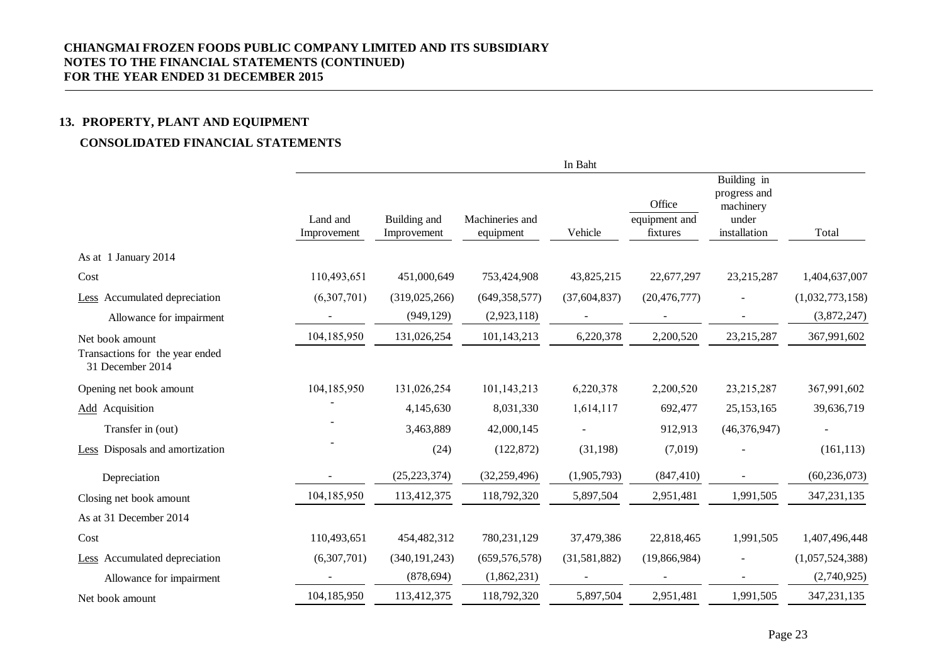# **13. PROPERTY, PLANT AND EQUIPMENT**

# **CONSOLIDATED FINANCIAL STATEMENTS**

|                                                                        |                         |                             |                              | In Baht        |                                     |                                                                   |                 |
|------------------------------------------------------------------------|-------------------------|-----------------------------|------------------------------|----------------|-------------------------------------|-------------------------------------------------------------------|-----------------|
|                                                                        | Land and<br>Improvement | Building and<br>Improvement | Machineries and<br>equipment | Vehicle        | Office<br>equipment and<br>fixtures | Building in<br>progress and<br>machinery<br>under<br>installation | Total           |
| As at 1 January 2014                                                   |                         |                             |                              |                |                                     |                                                                   |                 |
| Cost                                                                   | 110,493,651             | 451,000,649                 | 753,424,908                  | 43,825,215     | 22,677,297                          | 23,215,287                                                        | 1,404,637,007   |
| Less Accumulated depreciation                                          | (6,307,701)             | (319, 025, 266)             | (649, 358, 577)              | (37, 604, 837) | (20, 476, 777)                      |                                                                   | (1,032,773,158) |
| Allowance for impairment                                               |                         | (949, 129)                  | (2,923,118)                  |                |                                     |                                                                   | (3,872,247)     |
| Net book amount<br>Transactions for the year ended<br>31 December 2014 | 104,185,950             | 131,026,254                 | 101,143,213                  | 6,220,378      | 2,200,520                           | 23,215,287                                                        | 367,991,602     |
| Opening net book amount                                                | 104,185,950             | 131,026,254                 | 101,143,213                  | 6,220,378      | 2,200,520                           | 23,215,287                                                        | 367,991,602     |
| <b>Add</b> Acquisition                                                 |                         | 4,145,630                   | 8,031,330                    | 1,614,117      | 692,477                             | 25, 153, 165                                                      | 39,636,719      |
| Transfer in (out)                                                      |                         | 3,463,889                   | 42,000,145                   |                | 912,913                             | (46, 376, 947)                                                    |                 |
| <b>Less</b> Disposals and amortization                                 |                         | (24)                        | (122, 872)                   | (31, 198)      | (7,019)                             |                                                                   | (161, 113)      |
| Depreciation                                                           |                         | (25, 223, 374)              | (32, 259, 496)               | (1,905,793)    | (847, 410)                          |                                                                   | (60, 236, 073)  |
| Closing net book amount                                                | 104,185,950             | 113,412,375                 | 118,792,320                  | 5,897,504      | 2,951,481                           | 1,991,505                                                         | 347,231,135     |
| As at 31 December 2014                                                 |                         |                             |                              |                |                                     |                                                                   |                 |
| Cost                                                                   | 110,493,651             | 454,482,312                 | 780,231,129                  | 37,479,386     | 22,818,465                          | 1,991,505                                                         | 1,407,496,448   |
| Less Accumulated depreciation                                          | (6,307,701)             | (340, 191, 243)             | (659, 576, 578)              | (31,581,882)   | (19,866,984)                        |                                                                   | (1,057,524,388) |
| Allowance for impairment                                               |                         | (878, 694)                  | (1,862,231)                  |                |                                     |                                                                   | (2,740,925)     |
| Net book amount                                                        | 104,185,950             | 113,412,375                 | 118,792,320                  | 5,897,504      | 2,951,481                           | 1,991,505                                                         | 347,231,135     |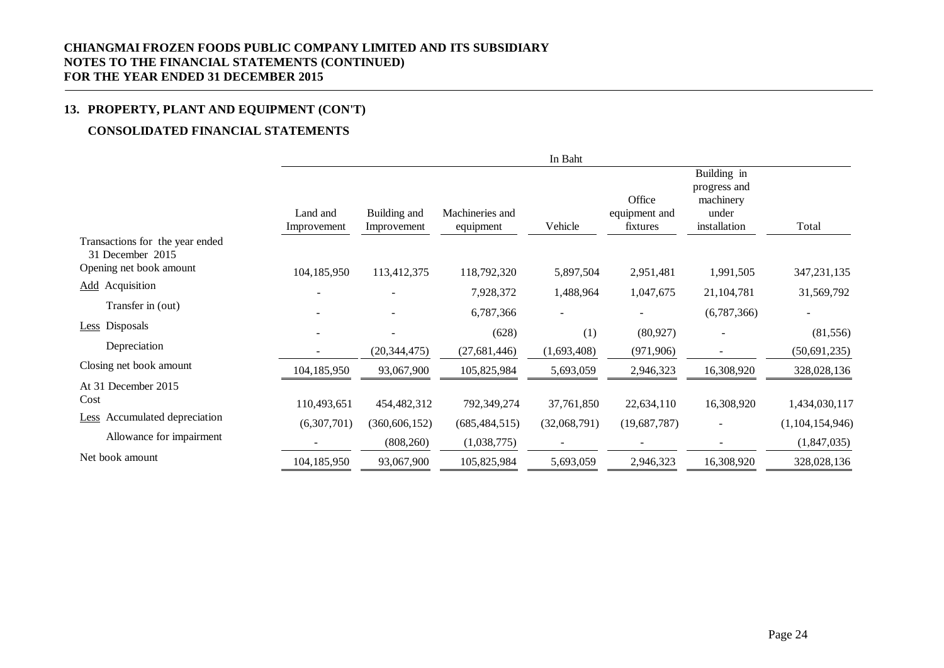# **13. PROPERTY, PLANT AND EQUIPMENT (CON'T)**

# **CONSOLIDATED FINANCIAL STATEMENTS**

|                                                     |                         |                             |                              | In Baht                  |                                     |                                                                   |                 |
|-----------------------------------------------------|-------------------------|-----------------------------|------------------------------|--------------------------|-------------------------------------|-------------------------------------------------------------------|-----------------|
|                                                     | Land and<br>Improvement | Building and<br>Improvement | Machineries and<br>equipment | Vehicle                  | Office<br>equipment and<br>fixtures | Building in<br>progress and<br>machinery<br>under<br>installation | Total           |
| Transactions for the year ended<br>31 December 2015 |                         |                             |                              |                          |                                     |                                                                   |                 |
| Opening net book amount                             | 104,185,950             | 113,412,375                 | 118,792,320                  | 5,897,504                | 2,951,481                           | 1,991,505                                                         | 347, 231, 135   |
| <b>Add</b> Acquisition                              |                         |                             | 7,928,372                    | 1,488,964                | 1,047,675                           | 21,104,781                                                        | 31,569,792      |
| Transfer in (out)                                   |                         |                             | 6,787,366                    |                          | $\overline{\phantom{0}}$            | (6,787,366)                                                       |                 |
| Less Disposals                                      |                         | $\blacksquare$              | (628)                        | (1)                      | (80, 927)                           |                                                                   | (81, 556)       |
| Depreciation                                        |                         | (20, 344, 475)              | (27, 681, 446)               | (1,693,408)              | (971, 906)                          |                                                                   | (50, 691, 235)  |
| Closing net book amount                             | 104,185,950             | 93,067,900                  | 105,825,984                  | 5,693,059                | 2,946,323                           | 16,308,920                                                        | 328,028,136     |
| At 31 December 2015                                 |                         |                             |                              |                          |                                     |                                                                   |                 |
| Cost                                                | 110,493,651             | 454,482,312                 | 792,349,274                  | 37,761,850               | 22,634,110                          | 16,308,920                                                        | 1,434,030,117   |
| Accumulated depreciation<br><b>Less</b>             | (6,307,701)             | (360, 606, 152)             | (685, 484, 515)              | (32,068,791)             | (19,687,787)                        |                                                                   | (1,104,154,946) |
| Allowance for impairment                            |                         | (808, 260)                  | (1,038,775)                  | $\overline{\phantom{a}}$ |                                     |                                                                   | (1,847,035)     |
| Net book amount                                     | 104,185,950             | 93,067,900                  | 105,825,984                  | 5,693,059                | 2,946,323                           | 16,308,920                                                        | 328,028,136     |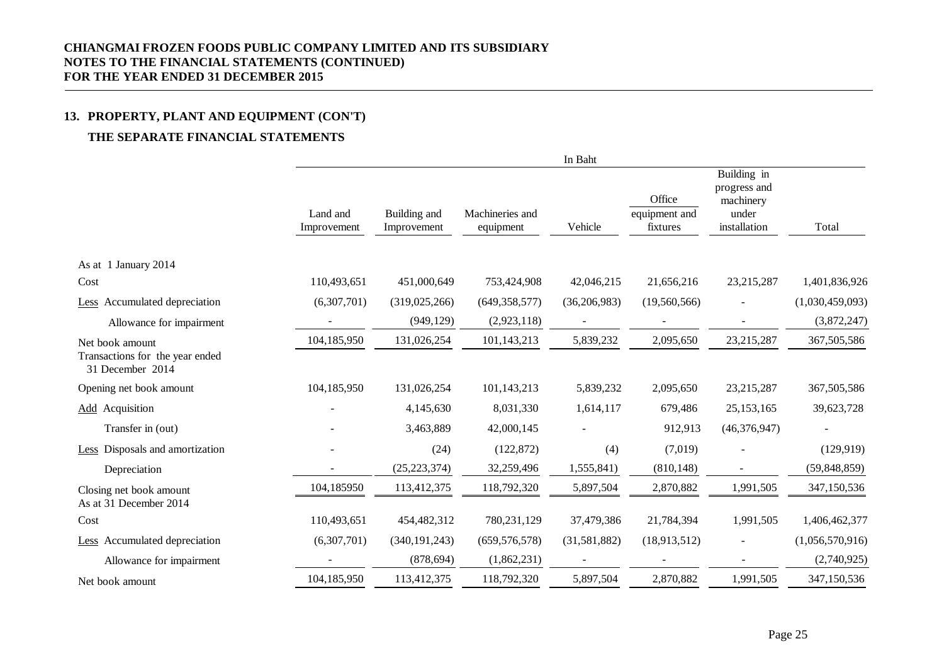# **13. PROPERTY, PLANT AND EQUIPMENT (CON'T)**

# **THE SEPARATE FINANCIAL STATEMENTS**

|                                                                        |                         |                             |                              | In Baht        |                                     |                                                                   |                 |
|------------------------------------------------------------------------|-------------------------|-----------------------------|------------------------------|----------------|-------------------------------------|-------------------------------------------------------------------|-----------------|
|                                                                        | Land and<br>Improvement | Building and<br>Improvement | Machineries and<br>equipment | Vehicle        | Office<br>equipment and<br>fixtures | Building in<br>progress and<br>machinery<br>under<br>installation | Total           |
| As at 1 January 2014                                                   |                         |                             |                              |                |                                     |                                                                   |                 |
| Cost                                                                   | 110,493,651             | 451,000,649                 | 753,424,908                  | 42,046,215     | 21,656,216                          | 23,215,287                                                        | 1,401,836,926   |
| Less Accumulated depreciation                                          | (6,307,701)             | (319, 025, 266)             | (649, 358, 577)              | (36, 206, 983) | (19,560,566)                        |                                                                   | (1,030,459,093) |
| Allowance for impairment                                               |                         | (949, 129)                  | (2,923,118)                  |                |                                     |                                                                   | (3,872,247)     |
| Net book amount<br>Transactions for the year ended<br>31 December 2014 | 104,185,950             | 131,026,254                 | 101,143,213                  | 5,839,232      | 2,095,650                           | 23,215,287                                                        | 367,505,586     |
| Opening net book amount                                                | 104,185,950             | 131,026,254                 | 101,143,213                  | 5,839,232      | 2,095,650                           | 23,215,287                                                        | 367,505,586     |
| <b>Add</b> Acquisition                                                 |                         | 4,145,630                   | 8,031,330                    | 1,614,117      | 679,486                             | 25, 153, 165                                                      | 39,623,728      |
| Transfer in (out)                                                      |                         | 3,463,889                   | 42,000,145                   |                | 912,913                             | (46, 376, 947)                                                    |                 |
| Less Disposals and amortization                                        |                         | (24)                        | (122, 872)                   | (4)            | (7,019)                             |                                                                   | (129, 919)      |
| Depreciation                                                           |                         | (25, 223, 374)              | 32,259,496                   | 1,555,841)     | (810, 148)                          |                                                                   | (59, 848, 859)  |
| Closing net book amount<br>As at 31 December 2014                      | 104,185950              | 113,412,375                 | 118,792,320                  | 5,897,504      | 2,870,882                           | 1,991,505                                                         | 347,150,536     |
| Cost                                                                   | 110,493,651             | 454,482,312                 | 780,231,129                  | 37,479,386     | 21,784,394                          | 1,991,505                                                         | 1,406,462,377   |
| Less Accumulated depreciation                                          | (6,307,701)             | (340, 191, 243)             | (659, 576, 578)              | (31,581,882)   | (18,913,512)                        |                                                                   | (1,056,570,916) |
| Allowance for impairment                                               |                         | (878, 694)                  | (1,862,231)                  |                |                                     |                                                                   | (2,740,925)     |
| Net book amount                                                        | 104,185,950             | 113,412,375                 | 118,792,320                  | 5,897,504      | 2,870,882                           | 1,991,505                                                         | 347,150,536     |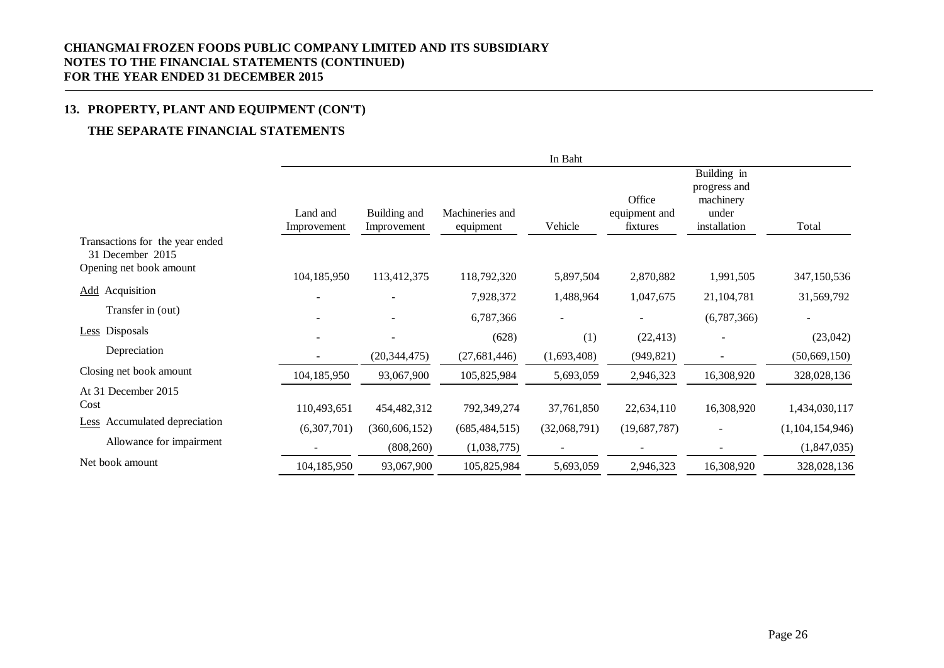# **13. PROPERTY, PLANT AND EQUIPMENT (CON'T)**

# **THE SEPARATE FINANCIAL STATEMENTS**

|                                                     |                         |                             |                              | In Baht                  |                                     |                                                                   |                 |
|-----------------------------------------------------|-------------------------|-----------------------------|------------------------------|--------------------------|-------------------------------------|-------------------------------------------------------------------|-----------------|
|                                                     | Land and<br>Improvement | Building and<br>Improvement | Machineries and<br>equipment | Vehicle                  | Office<br>equipment and<br>fixtures | Building in<br>progress and<br>machinery<br>under<br>installation | Total           |
| Transactions for the year ended<br>31 December 2015 |                         |                             |                              |                          |                                     |                                                                   |                 |
| Opening net book amount                             | 104,185,950             | 113,412,375                 | 118,792,320                  | 5,897,504                | 2,870,882                           | 1,991,505                                                         | 347,150,536     |
| <b>Add</b> Acquisition                              |                         |                             | 7,928,372                    | 1,488,964                | 1,047,675                           | 21,104,781                                                        | 31,569,792      |
| Transfer in (out)                                   |                         | $\overline{\phantom{a}}$    | 6,787,366                    | $\blacksquare$           |                                     | (6,787,366)                                                       | $\blacksquare$  |
| Less Disposals                                      |                         | $\overline{\phantom{a}}$    | (628)                        | (1)                      | (22, 413)                           |                                                                   | (23,042)        |
| Depreciation                                        |                         | (20, 344, 475)              | (27, 681, 446)               | (1,693,408)              | (949, 821)                          |                                                                   | (50, 669, 150)  |
| Closing net book amount                             | 104,185,950             | 93,067,900                  | 105,825,984                  | 5,693,059                | 2,946,323                           | 16,308,920                                                        | 328,028,136     |
| At 31 December 2015                                 |                         |                             |                              |                          |                                     |                                                                   |                 |
| Cost                                                | 110,493,651             | 454,482,312                 | 792,349,274                  | 37,761,850               | 22,634,110                          | 16,308,920                                                        | 1,434,030,117   |
| Accumulated depreciation<br>Less                    | (6,307,701)             | (360, 606, 152)             | (685, 484, 515)              | (32,068,791)             | (19,687,787)                        |                                                                   | (1,104,154,946) |
| Allowance for impairment                            |                         | (808, 260)                  | (1,038,775)                  | $\overline{\phantom{a}}$ |                                     |                                                                   | (1,847,035)     |
| Net book amount                                     | 104,185,950             | 93,067,900                  | 105,825,984                  | 5,693,059                | 2,946,323                           | 16,308,920                                                        | 328,028,136     |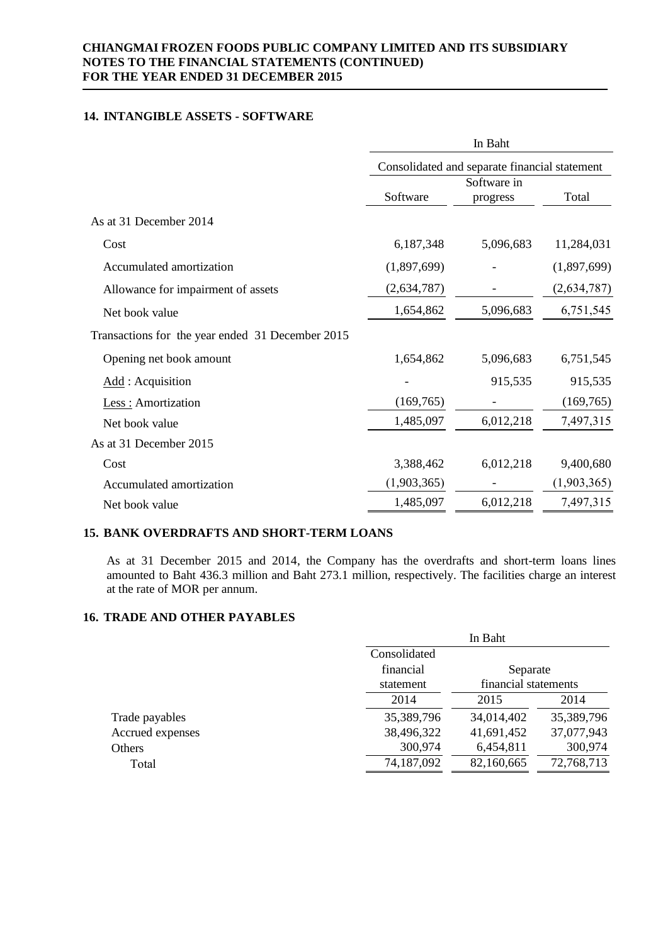# **14. INTANGIBLE ASSETS - SOFTWARE**

|                                                  | In Baht<br>Consolidated and separate financial statement |             |             |  |  |
|--------------------------------------------------|----------------------------------------------------------|-------------|-------------|--|--|
|                                                  |                                                          |             |             |  |  |
|                                                  |                                                          | Software in |             |  |  |
|                                                  | Software                                                 | progress    | Total       |  |  |
| As at 31 December 2014                           |                                                          |             |             |  |  |
| Cost                                             | 6,187,348                                                | 5,096,683   | 11,284,031  |  |  |
| Accumulated amortization                         | (1,897,699)                                              |             | (1,897,699) |  |  |
| Allowance for impairment of assets               | (2,634,787)                                              |             | (2,634,787) |  |  |
| Net book value                                   | 1,654,862                                                | 5,096,683   | 6,751,545   |  |  |
| Transactions for the year ended 31 December 2015 |                                                          |             |             |  |  |
| Opening net book amount                          | 1,654,862                                                | 5,096,683   | 6,751,545   |  |  |
| Add : Acquisition                                |                                                          | 915,535     | 915,535     |  |  |
| Less : Amortization                              | (169, 765)                                               |             | (169, 765)  |  |  |
| Net book value                                   | 1,485,097                                                | 6,012,218   | 7,497,315   |  |  |
| As at 31 December 2015                           |                                                          |             |             |  |  |
| Cost                                             | 3,388,462                                                | 6,012,218   | 9,400,680   |  |  |
| Accumulated amortization                         | (1,903,365)                                              |             | (1,903,365) |  |  |
| Net book value                                   | 1,485,097                                                | 6,012,218   | 7,497,315   |  |  |

### **15. BANK OVERDRAFTS AND SHORT-TERM LOANS**

As at 31 December 2015 and 2014, the Company has the overdrafts and short-term loans lines amounted to Baht 436.3 million and Baht 273.1 million, respectively. The facilities charge an interest at the rate of MOR per annum.

In Baht

# **16. TRADE AND OTHER PAYABLES**

|                  | 111 D UIIV   |                      |            |  |  |
|------------------|--------------|----------------------|------------|--|--|
|                  | Consolidated |                      |            |  |  |
|                  | financial    | Separate             |            |  |  |
|                  | statement    | financial statements |            |  |  |
|                  | 2014         | 2015                 | 2014       |  |  |
| Trade payables   | 35,389,796   | 34,014,402           | 35,389,796 |  |  |
| Accrued expenses | 38,496,322   | 41,691,452           | 37,077,943 |  |  |
| Others           | 300,974      | 6,454,811            | 300,974    |  |  |
| Total            | 74,187,092   | 82,160,665           | 72,768,713 |  |  |
|                  |              |                      |            |  |  |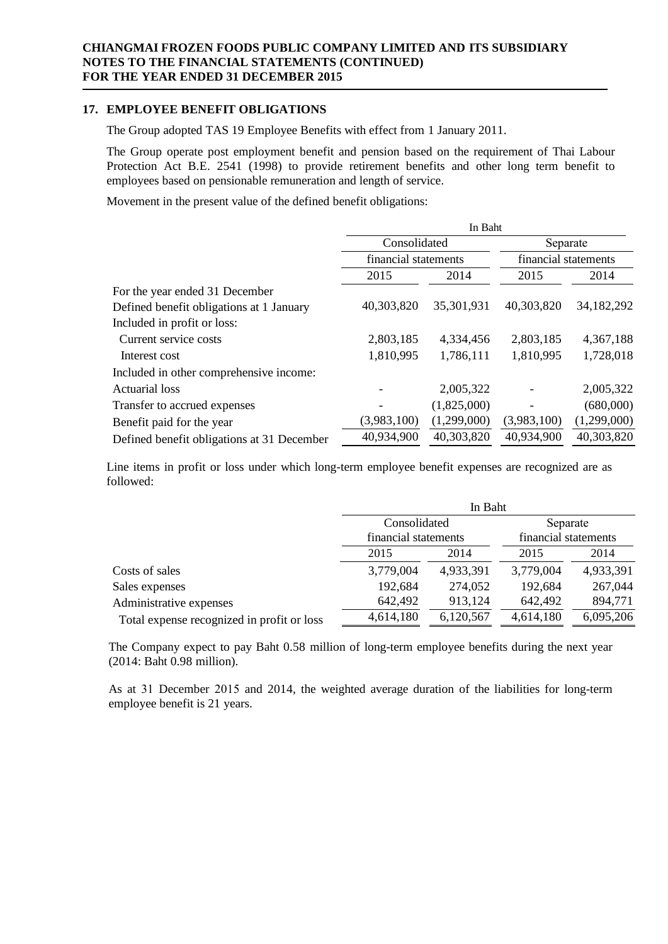# **17. EMPLOYEE BENEFIT OBLIGATIONS**

The Group adopted TAS 19 Employee Benefits with effect from 1 January 2011.

The Group operate post employment benefit and pension based on the requirement of Thai Labour Protection Act B.E. 2541 (1998) to provide retirement benefits and other long term benefit to employees based on pensionable remuneration and length of service.

Movement in the present value of the defined benefit obligations:

|                                            | In Baht              |             |                      |             |  |
|--------------------------------------------|----------------------|-------------|----------------------|-------------|--|
|                                            | Consolidated         |             | Separate             |             |  |
|                                            | financial statements |             | financial statements |             |  |
|                                            | 2015                 | 2014        | 2015                 | 2014        |  |
| For the year ended 31 December             |                      |             |                      |             |  |
| Defined benefit obligations at 1 January   | 40,303,820           | 35,301,931  | 40,303,820           | 34,182,292  |  |
| Included in profit or loss:                |                      |             |                      |             |  |
| Current service costs                      | 2,803,185            | 4,334,456   | 2,803,185            | 4,367,188   |  |
| Interest cost                              | 1,810,995            | 1,786,111   | 1,810,995            | 1,728,018   |  |
| Included in other comprehensive income:    |                      |             |                      |             |  |
| <b>Actuarial</b> loss                      |                      | 2,005,322   |                      | 2,005,322   |  |
| Transfer to accrued expenses               |                      | (1,825,000) |                      | (680,000)   |  |
| Benefit paid for the year                  | (3,983,100)          | (1,299,000) | (3,983,100)          | (1,299,000) |  |
| Defined benefit obligations at 31 December | 40,934,900           | 40,303,820  | 40,934,900           | 40,303,820  |  |

Line items in profit or loss under which long-term employee benefit expenses are recognized are as followed:

|                                            | In Baht              |           |                      |           |  |
|--------------------------------------------|----------------------|-----------|----------------------|-----------|--|
|                                            | Consolidated         |           | Separate             |           |  |
|                                            | financial statements |           | financial statements |           |  |
|                                            | 2015                 | 2014      | 2015                 | 2014      |  |
| Costs of sales                             | 3,779,004            | 4,933,391 | 3,779,004            | 4,933,391 |  |
| Sales expenses                             | 192,684              | 274,052   | 192,684              | 267,044   |  |
| Administrative expenses                    | 642,492              | 913,124   | 642,492              | 894,771   |  |
| Total expense recognized in profit or loss | 4,614,180            | 6,120,567 | 4,614,180            | 6,095,206 |  |

The Company expect to pay Baht 0.58 million of long-term employee benefits during the next year (2014: Baht 0.98 million).

As at 31 December 2015 and 2014, the weighted average duration of the liabilities for long-term employee benefit is 21 years.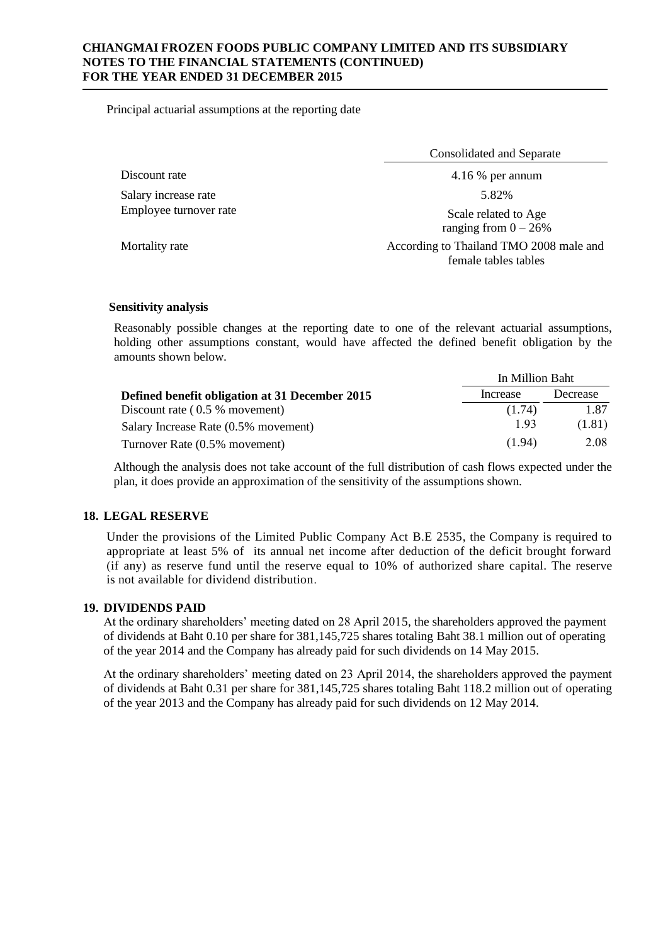Principal actuarial assumptions at the reporting date

Discount rate 4.16 % per annum 4.16 % per annum Salary increase rate 5.82% Employee turnover rate Scale related to Age

Consolidated and Separate

ranging from  $0 - 26%$ 

Mortality rate **According to Thailand TMO 2008** male and female tables tables

### **Sensitivity analysis**

Reasonably possible changes at the reporting date to one of the relevant actuarial assumptions, holding other assumptions constant, would have affected the defined benefit obligation by the amounts shown below.

|                                                | In Million Baht |          |
|------------------------------------------------|-----------------|----------|
| Defined benefit obligation at 31 December 2015 | Increase        | Decrease |
| Discount rate $(0.5 %$ movement)               | (1.74)          | 1.87     |
| Salary Increase Rate (0.5% movement)           | 1.93            | (1.81)   |
| Turnover Rate (0.5% movement)                  | (1.94)          | 2.08     |

Although the analysis does not take account of the full distribution of cash flows expected under the plan, it does provide an approximation of the sensitivity of the assumptions shown.

# **18. LEGAL RESERVE**

Under the provisions of the Limited Public Company Act B.E 2535, the Company is required to appropriate at least 5% of its annual net income after deduction of the deficit brought forward (if any) as reserve fund until the reserve equal to 10% of authorized share capital. The reserve is not available for dividend distribution.

### **19. DIVIDENDS PAID**

At the ordinary shareholders' meeting dated on 28 April 2015, the shareholders approved the payment of dividends at Baht 0.10 per share for 381,145,725 shares totaling Baht 38.1 million out of operating of the year 2014 and the Company has already paid for such dividends on 14 May 2015.

At the ordinary shareholders' meeting dated on 23 April 2014, the shareholders approved the payment of dividends at Baht 0.31 per share for 381,145,725 shares totaling Baht 118.2 million out of operating of the year 2013 and the Company has already paid for such dividends on 12 May 2014.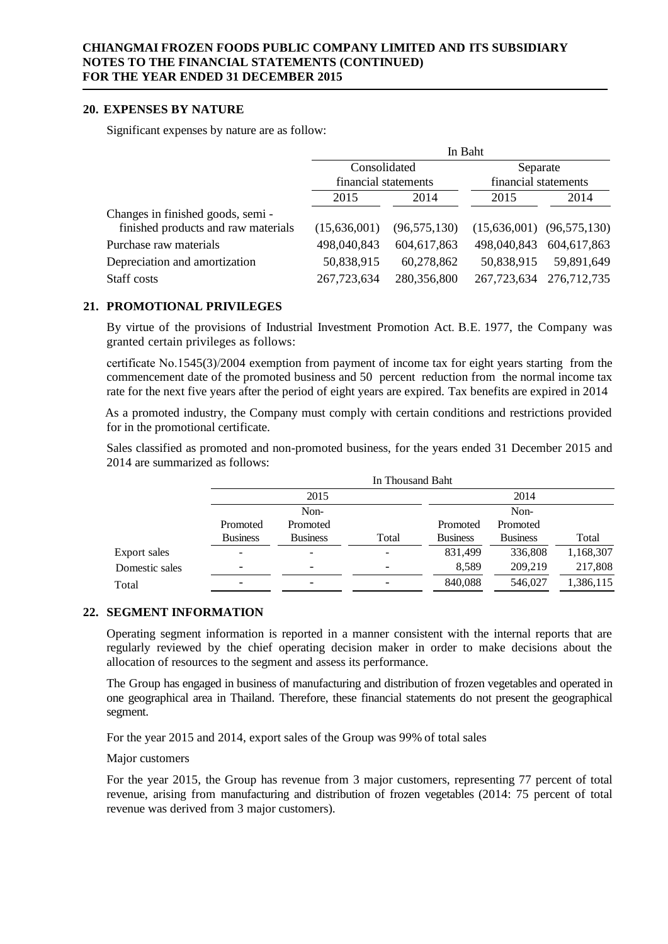### **20. EXPENSES BY NATURE**

Significant expenses by nature are as follow:

|                                     | In Baht              |                |                      |                               |
|-------------------------------------|----------------------|----------------|----------------------|-------------------------------|
|                                     | Consolidated         |                | Separate             |                               |
|                                     | financial statements |                | financial statements |                               |
|                                     | 2015                 | 2014           | 2015                 | 2014                          |
| Changes in finished goods, semi-    |                      |                |                      |                               |
| finished products and raw materials | (15,636,001)         | (96, 575, 130) |                      | $(15,636,001)$ $(96,575,130)$ |
| Purchase raw materials              | 498,040,843          | 604,617,863    | 498,040,843          | 604,617,863                   |
| Depreciation and amortization       | 50,838,915           | 60,278,862     | 50,838,915           | 59,891,649                    |
| Staff costs                         | 267,723,634          | 280,356,800    | 267,723,634          | 276,712,735                   |

# **21. PROMOTIONAL PRIVILEGES**

By virtue of the provisions of Industrial Investment Promotion Act. B.E. 1977, the Company was granted certain privileges as follows:

certificate No.1545(3)/2004 exemption from payment of income tax for eight years starting from the commencement date of the promoted business and 50 percent reduction from the normal income tax rate for the next five years after the period of eight years are expired. Tax benefits are expired in 2014

As a promoted industry, the Company must comply with certain conditions and restrictions provided for in the promotional certificate.

Sales classified as promoted and non-promoted business, for the years ended 31 December 2015 and 2014 are summarized as follows:

|                |                 |                          | In Thousand Baht |                 |                 |           |
|----------------|-----------------|--------------------------|------------------|-----------------|-----------------|-----------|
|                | 2015            |                          | 2014<br>Non-     |                 |                 |           |
|                | Non-            |                          |                  |                 |                 |           |
|                | Promoted        | Promoted                 |                  | Promoted        | Promoted        |           |
|                | <b>Business</b> | <b>Business</b>          | Total            | <b>Business</b> | <b>Business</b> | Total     |
| Export sales   |                 | -                        |                  | 831,499         | 336,808         | 1,168,307 |
| Domestic sales | -               | $\overline{\phantom{0}}$ |                  | 8,589           | 209,219         | 217,808   |
| Total          |                 | $\overline{\phantom{0}}$ |                  | 840,088         | 546.027         | 1,386,115 |

# **22. SEGMENT INFORMATION**

Operating segment information is reported in a manner consistent with the internal reports that are regularly reviewed by the chief operating decision maker in order to make decisions about the allocation of resources to the segment and assess its performance.

The Group has engaged in business of manufacturing and distribution of frozen vegetables and operated in one geographical area in Thailand. Therefore, these financial statements do not present the geographical segment.

For the year 2015 and 2014, export sales of the Group was 99% of total sales

Major customers

For the year 2015, the Group has revenue from 3 major customers, representing 77 percent of total revenue, arising from manufacturing and distribution of frozen vegetables (2014: 75 percent of total revenue was derived from 3 major customers).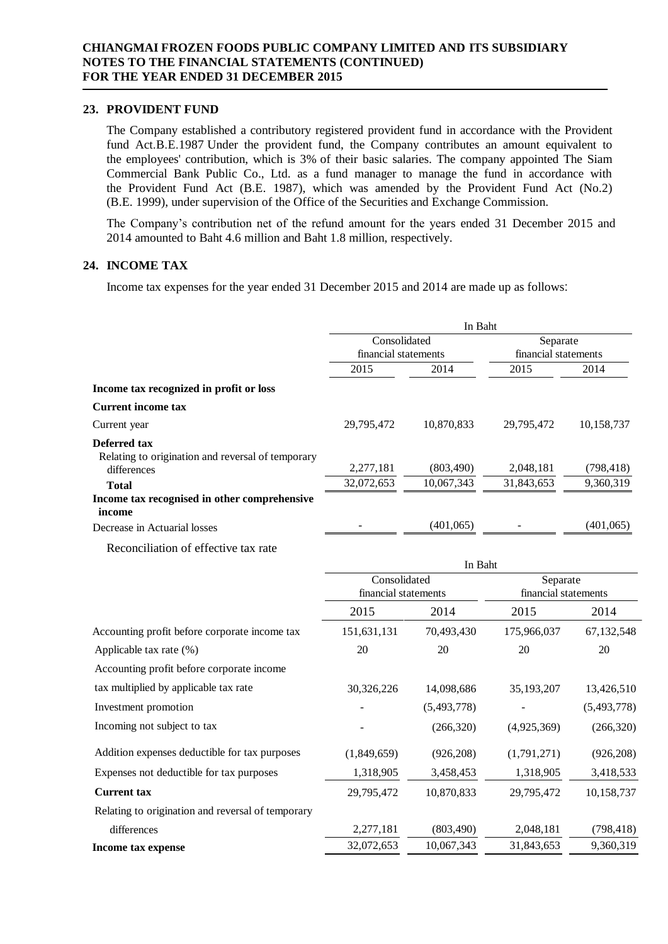#### **23. PROVIDENT FUND**

The Company established a contributory registered provident fund in accordance with the Provident fund Act.B.E.1987 Under the provident fund, the Company contributes an amount equivalent to the employees' contribution, which is 3% of their basic salaries. The company appointed The Siam Commercial Bank Public Co., Ltd. as a fund manager to manage the fund in accordance with the Provident Fund Act (B.E. 1987), which was amended by the Provident Fund Act (No.2) (B.E. 1999), under supervision of the Office of the Securities and Exchange Commission.

The Company's contribution net of the refund amount for the years ended 31 December 2015 and 2014 amounted to Baht 4.6 million and Baht 1.8 million, respectively.

# **24. INCOME TAX**

Income tax expenses for the year ended 31 December 2015 and 2014 are made up as follows:

|                                                                        | In Baht                  |                          |                         |                         |  |
|------------------------------------------------------------------------|--------------------------|--------------------------|-------------------------|-------------------------|--|
|                                                                        | Consolidated             |                          | Separate                |                         |  |
|                                                                        | financial statements     |                          |                         | financial statements    |  |
|                                                                        | 2015                     | 2014                     | 2015                    | 2014                    |  |
| Income tax recognized in profit or loss                                |                          |                          |                         |                         |  |
| <b>Current income tax</b>                                              |                          |                          |                         |                         |  |
| Current year                                                           | 29,795,472               | 10,870,833               | 29,795,472              | 10,158,737              |  |
| Deferred tax<br>Relating to origination and reversal of temporary      |                          |                          |                         |                         |  |
| differences                                                            | 2,277,181<br>32,072,653  | (803, 490)<br>10,067,343 | 2,048,181<br>31,843,653 | (798, 418)<br>9,360,319 |  |
| <b>Total</b><br>Income tax recognised in other comprehensive<br>income |                          |                          |                         |                         |  |
| Decrease in Actuarial losses                                           |                          | (401, 065)               |                         | (401, 065)              |  |
| Reconciliation of effective tax rate                                   |                          |                          |                         |                         |  |
|                                                                        |                          | In Baht                  |                         |                         |  |
|                                                                        | Consolidated<br>Separate |                          |                         |                         |  |
|                                                                        | financial statements     |                          | financial statements    |                         |  |
|                                                                        | 2015                     | 2014                     | 2015                    | 2014                    |  |
| Accounting profit before corporate income tax                          | 151,631,131              | 70,493,430               | 175,966,037             | 67,132,548              |  |
| Applicable tax rate (%)                                                | 20                       | 20                       | 20                      | 20                      |  |
| Accounting profit before corporate income                              |                          |                          |                         |                         |  |
| tax multiplied by applicable tax rate                                  | 30,326,226               | 14,098,686               | 35,193,207              | 13,426,510              |  |
| Investment promotion                                                   |                          | (5,493,778)              |                         | (5,493,778)             |  |
| Incoming not subject to tax                                            |                          | (266, 320)               | (4,925,369)             | (266, 320)              |  |
| Addition expenses deductible for tax purposes                          | (1,849,659)              | (926, 208)               | (1,791,271)             | (926, 208)              |  |
| Expenses not deductible for tax purposes                               | 1,318,905                | 3,458,453                | 1,318,905               | 3,418,533               |  |
| <b>Current tax</b>                                                     | 29,795,472               | 10,870,833               | 29,795,472              | 10,158,737              |  |
| Relating to origination and reversal of temporary                      |                          |                          |                         |                         |  |
| differences                                                            | 2,277,181                | (803, 490)               | 2,048,181               | (798, 418)              |  |
| Income tax expense                                                     | 32,072,653               | 10,067,343               | 31,843,653              | 9,360,319               |  |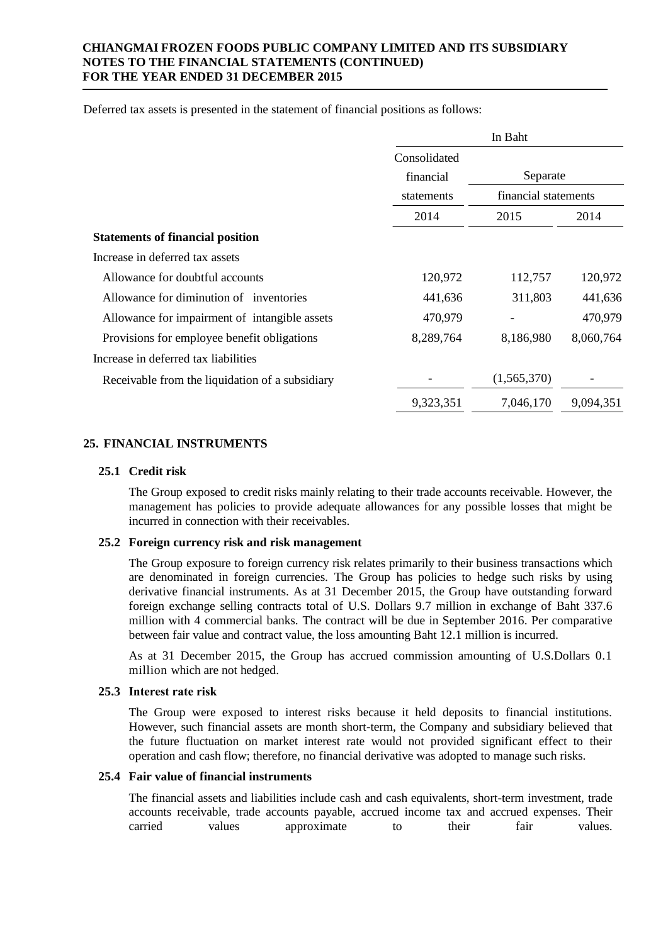Deferred tax assets is presented in the statement of financial positions as follows:

|                                                 | In Baht            |                                  |           |
|-------------------------------------------------|--------------------|----------------------------------|-----------|
|                                                 | Consolidated       |                                  |           |
|                                                 | financial          | Separate<br>financial statements |           |
|                                                 | statements<br>2014 |                                  |           |
|                                                 |                    | 2015                             | 2014      |
| <b>Statements of financial position</b>         |                    |                                  |           |
| Increase in deferred tax assets                 |                    |                                  |           |
| Allowance for doubtful accounts                 | 120,972            | 112,757                          | 120,972   |
| Allowance for diminution of inventories         | 441,636            | 311,803                          | 441,636   |
| Allowance for impairment of intangible assets   | 470,979            |                                  | 470,979   |
| Provisions for employee benefit obligations     | 8,289,764          | 8,186,980                        | 8,060,764 |
| Increase in deferred tax liabilities            |                    |                                  |           |
| Receivable from the liquidation of a subsidiary |                    | (1,565,370)                      |           |
|                                                 | 9,323,351          | 7,046,170                        | 9,094,351 |

# **25. FINANCIAL INSTRUMENTS**

### **25.1 Credit risk**

The Group exposed to credit risks mainly relating to their trade accounts receivable. However, the management has policies to provide adequate allowances for any possible losses that might be incurred in connection with their receivables.

### **25.2 Foreign currency risk and risk management**

The Group exposure to foreign currency risk relates primarily to their business transactions which are denominated in foreign currencies. The Group has policies to hedge such risks by using derivative financial instruments. As at 31 December 2015, the Group have outstanding forward foreign exchange selling contracts total of U.S. Dollars 9.7 million in exchange of Baht 337.6 million with 4 commercial banks. The contract will be due in September 2016. Per comparative between fair value and contract value, the loss amounting Baht 12.1 million is incurred.

As at 31 December 2015, the Group has accrued commission amounting of U.S.Dollars 0.1 million which are not hedged.

## **25.3 Interest rate risk**

The Group were exposed to interest risks because it held deposits to financial institutions. However, such financial assets are month short-term, the Company and subsidiary believed that the future fluctuation on market interest rate would not provided significant effect to their operation and cash flow; therefore, no financial derivative was adopted to manage such risks.

### **25.4 Fair value of financial instruments**

The financial assets and liabilities include cash and cash equivalents, short-term investment, trade accounts receivable, trade accounts payable, accrued income tax and accrued expenses. Their carried values approximate to their fair values.